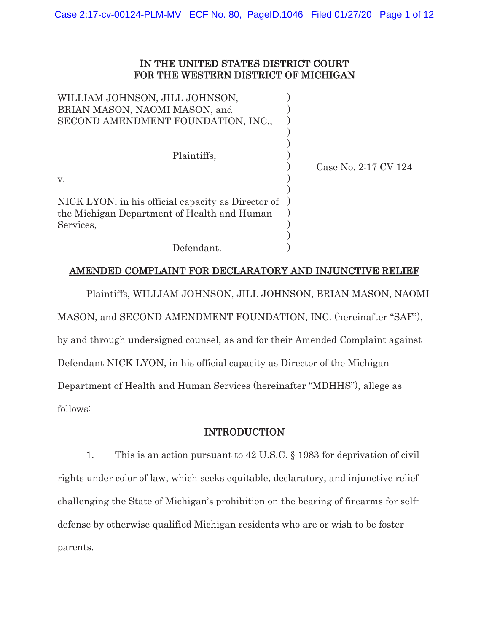## IN THE UNITED STATES DISTRICT COURT FOR THE WESTERN DISTRICT OF MICHIGAN

| WILLIAM JOHNSON, JILL JOHNSON,<br>BRIAN MASON, NAOMI MASON, and                                                |                      |
|----------------------------------------------------------------------------------------------------------------|----------------------|
| SECOND AMENDMENT FOUNDATION, INC.,                                                                             |                      |
| Plaintiffs,                                                                                                    | Case No. 2:17 CV 124 |
| $V_{\rm}$                                                                                                      |                      |
| NICK LYON, in his official capacity as Director of<br>the Michigan Department of Health and Human<br>Services, |                      |
| Defendant.                                                                                                     |                      |

# AMENDED COMPLAINT FOR DECLARATORY AND INJUNCTIVE RELIEF

Plaintiffs, WILLIAM JOHNSON, JILL JOHNSON, BRIAN MASON, NAOMI MASON, and SECOND AMENDMENT FOUNDATION, INC. (hereinafter "SAF"), by and through undersigned counsel, as and for their Amended Complaint against Defendant NICK LYON, in his official capacity as Director of the Michigan Department of Health and Human Services (hereinafter "MDHHS"), allege as follows:

# INTRODUCTION

1. This is an action pursuant to 42 U.S.C. § 1983 for deprivation of civil rights under color of law, which seeks equitable, declaratory, and injunctive relief challenging the State of Michigan's prohibition on the bearing of firearms for selfdefense by otherwise qualified Michigan residents who are or wish to be foster parents.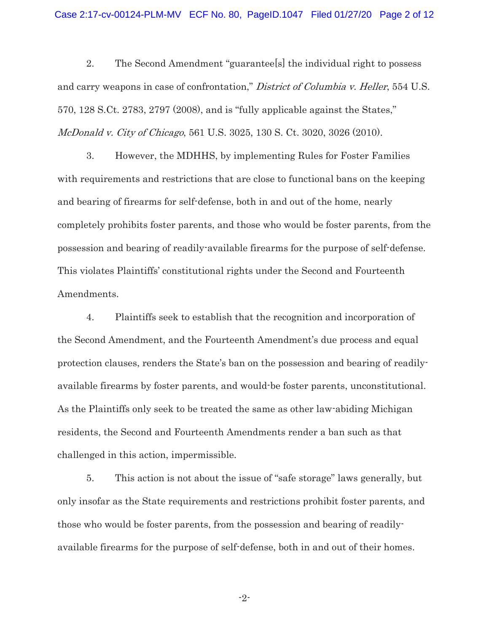2. The Second Amendment "guarantee[s] the individual right to possess and carry weapons in case of confrontation," District of Columbia v. Heller, 554 U.S. 570, 128 S.Ct. 2783, 2797 (2008), and is "fully applicable against the States," McDonald v. City of Chicago, 561 U.S. 3025, 130 S. Ct. 3020, 3026 (2010).

3. However, the MDHHS, by implementing Rules for Foster Families with requirements and restrictions that are close to functional bans on the keeping and bearing of firearms for self-defense, both in and out of the home, nearly completely prohibits foster parents, and those who would be foster parents, from the possession and bearing of readily-available firearms for the purpose of self-defense. This violates Plaintiffs' constitutional rights under the Second and Fourteenth Amendments.

4. Plaintiffs seek to establish that the recognition and incorporation of the Second Amendment, and the Fourteenth Amendment's due process and equal protection clauses, renders the State's ban on the possession and bearing of readilyavailable firearms by foster parents, and would-be foster parents, unconstitutional. As the Plaintiffs only seek to be treated the same as other law-abiding Michigan residents, the Second and Fourteenth Amendments render a ban such as that challenged in this action, impermissible.

5. This action is not about the issue of "safe storage" laws generally, but only insofar as the State requirements and restrictions prohibit foster parents, and those who would be foster parents, from the possession and bearing of readilyavailable firearms for the purpose of self-defense, both in and out of their homes.

-2-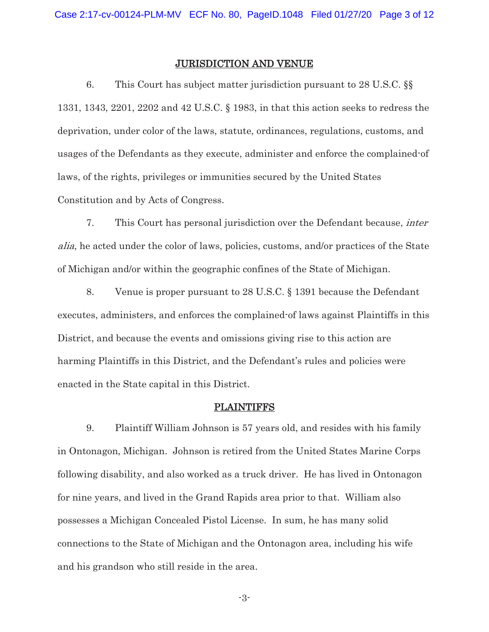#### JURISDICTION AND VENUE

6. This Court has subject matter jurisdiction pursuant to 28 U.S.C. §§ 1331, 1343, 2201, 2202 and 42 U.S.C. § 1983, in that this action seeks to redress the deprivation, under color of the laws, statute, ordinances, regulations, customs, and usages of the Defendants as they execute, administer and enforce the complained-of laws, of the rights, privileges or immunities secured by the United States Constitution and by Acts of Congress.

7. This Court has personal jurisdiction over the Defendant because, inter alia, he acted under the color of laws, policies, customs, and/or practices of the State of Michigan and/or within the geographic confines of the State of Michigan.

8. Venue is proper pursuant to 28 U.S.C. § 1391 because the Defendant executes, administers, and enforces the complained-of laws against Plaintiffs in this District, and because the events and omissions giving rise to this action are harming Plaintiffs in this District, and the Defendant's rules and policies were enacted in the State capital in this District.

#### PLAINTIFFS

9. Plaintiff William Johnson is 57 years old, and resides with his family in Ontonagon, Michigan. Johnson is retired from the United States Marine Corps following disability, and also worked as a truck driver. He has lived in Ontonagon for nine years, and lived in the Grand Rapids area prior to that. William also possesses a Michigan Concealed Pistol License. In sum, he has many solid connections to the State of Michigan and the Ontonagon area, including his wife and his grandson who still reside in the area.

-3-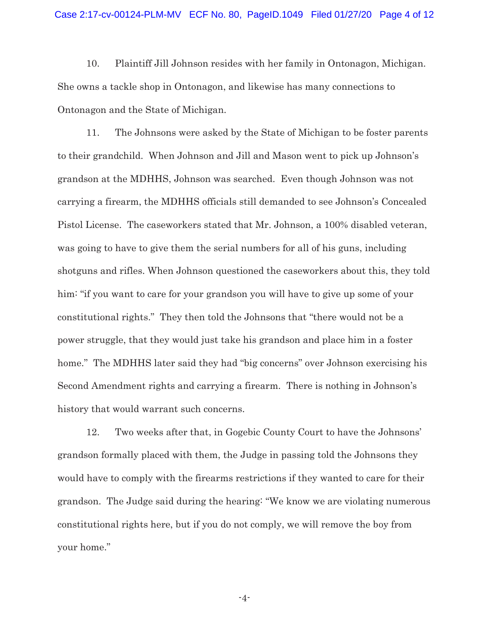10. Plaintiff Jill Johnson resides with her family in Ontonagon, Michigan. She owns a tackle shop in Ontonagon, and likewise has many connections to Ontonagon and the State of Michigan.

11. The Johnsons were asked by the State of Michigan to be foster parents to their grandchild. When Johnson and Jill and Mason went to pick up Johnson's grandson at the MDHHS, Johnson was searched. Even though Johnson was not carrying a firearm, the MDHHS officials still demanded to see Johnson's Concealed Pistol License. The caseworkers stated that Mr. Johnson, a 100% disabled veteran, was going to have to give them the serial numbers for all of his guns, including shotguns and rifles. When Johnson questioned the caseworkers about this, they told him: "if you want to care for your grandson you will have to give up some of your constitutional rights." They then told the Johnsons that "there would not be a power struggle, that they would just take his grandson and place him in a foster home." The MDHHS later said they had "big concerns" over Johnson exercising his Second Amendment rights and carrying a firearm. There is nothing in Johnson's history that would warrant such concerns.

12. Two weeks after that, in Gogebic County Court to have the Johnsons' grandson formally placed with them, the Judge in passing told the Johnsons they would have to comply with the firearms restrictions if they wanted to care for their grandson. The Judge said during the hearing: "We know we are violating numerous constitutional rights here, but if you do not comply, we will remove the boy from your home."

-4-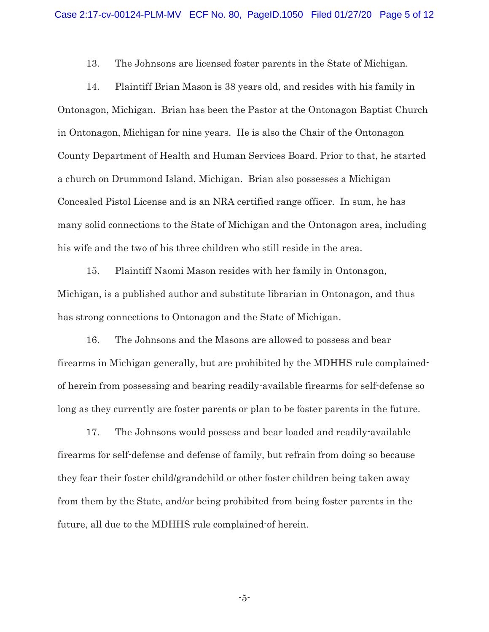13. The Johnsons are licensed foster parents in the State of Michigan.

14. Plaintiff Brian Mason is 38 years old, and resides with his family in Ontonagon, Michigan. Brian has been the Pastor at the Ontonagon Baptist Church in Ontonagon, Michigan for nine years. He is also the Chair of the Ontonagon County Department of Health and Human Services Board. Prior to that, he started a church on Drummond Island, Michigan. Brian also possesses a Michigan Concealed Pistol License and is an NRA certified range officer. In sum, he has many solid connections to the State of Michigan and the Ontonagon area, including his wife and the two of his three children who still reside in the area.

15. Plaintiff Naomi Mason resides with her family in Ontonagon, Michigan, is a published author and substitute librarian in Ontonagon, and thus has strong connections to Ontonagon and the State of Michigan.

16. The Johnsons and the Masons are allowed to possess and bear firearms in Michigan generally, but are prohibited by the MDHHS rule complainedof herein from possessing and bearing readily-available firearms for self-defense so long as they currently are foster parents or plan to be foster parents in the future.

17. The Johnsons would possess and bear loaded and readily-available firearms for self-defense and defense of family, but refrain from doing so because they fear their foster child/grandchild or other foster children being taken away from them by the State, and/or being prohibited from being foster parents in the future, all due to the MDHHS rule complained-of herein.

-5-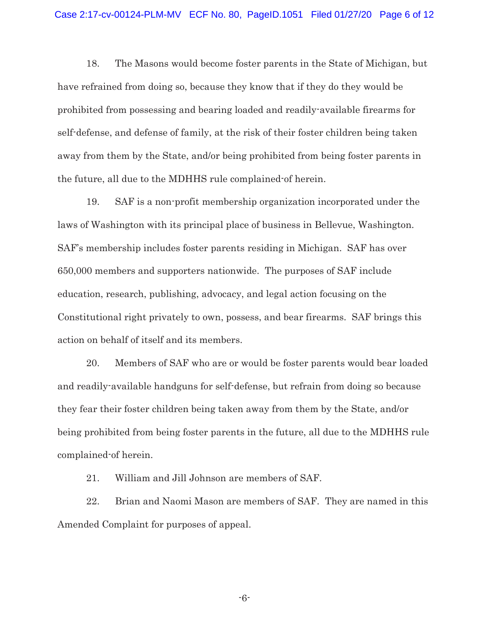18. The Masons would become foster parents in the State of Michigan, but have refrained from doing so, because they know that if they do they would be prohibited from possessing and bearing loaded and readily-available firearms for self-defense, and defense of family, at the risk of their foster children being taken away from them by the State, and/or being prohibited from being foster parents in the future, all due to the MDHHS rule complained-of herein.

19. SAF is a non-profit membership organization incorporated under the laws of Washington with its principal place of business in Bellevue, Washington. SAF's membership includes foster parents residing in Michigan. SAF has over 650,000 members and supporters nationwide. The purposes of SAF include education, research, publishing, advocacy, and legal action focusing on the Constitutional right privately to own, possess, and bear firearms. SAF brings this action on behalf of itself and its members.

20. Members of SAF who are or would be foster parents would bear loaded and readily-available handguns for self-defense, but refrain from doing so because they fear their foster children being taken away from them by the State, and/or being prohibited from being foster parents in the future, all due to the MDHHS rule complained-of herein.

21. William and Jill Johnson are members of SAF.

22. Brian and Naomi Mason are members of SAF. They are named in this Amended Complaint for purposes of appeal.

-6-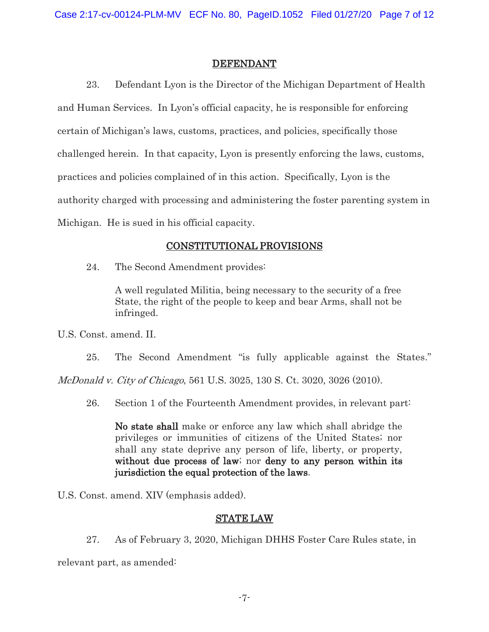#### DEFENDANT

23. Defendant Lyon is the Director of the Michigan Department of Health and Human Services. In Lyon's official capacity, he is responsible for enforcing certain of Michigan's laws, customs, practices, and policies, specifically those challenged herein. In that capacity, Lyon is presently enforcing the laws, customs, practices and policies complained of in this action. Specifically, Lyon is the authority charged with processing and administering the foster parenting system in Michigan. He is sued in his official capacity.

## CONSTITUTIONAL PROVISIONS

24. The Second Amendment provides:

A well regulated Militia, being necessary to the security of a free State, the right of the people to keep and bear Arms, shall not be infringed.

U.S. Const. amend. II.

25. The Second Amendment "is fully applicable against the States."

McDonald v. City of Chicago, 561 U.S. 3025, 130 S. Ct. 3020, 3026 (2010).

26. Section 1 of the Fourteenth Amendment provides, in relevant part:

No state shall make or enforce any law which shall abridge the privileges or immunities of citizens of the United States; nor shall any state deprive any person of life, liberty, or property, without due process of law; nor deny to any person within its jurisdiction the equal protection of the laws.

U.S. Const. amend. XIV (emphasis added).

## STATE LAW

27. As of February 3, 2020, Michigan DHHS Foster Care Rules state, in

relevant part, as amended: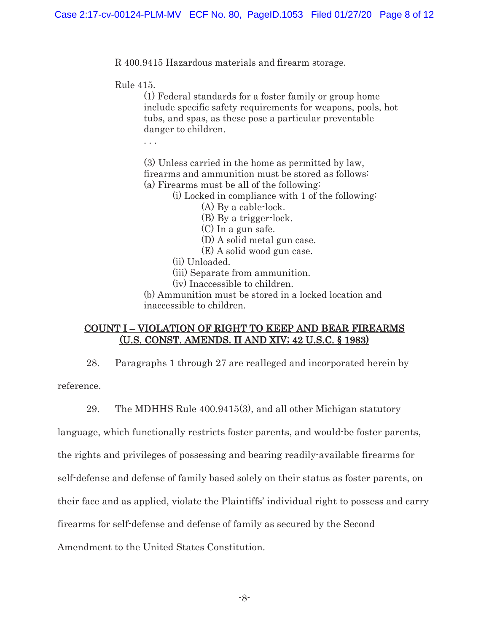R 400.9415 Hazardous materials and firearm storage.

Rule 415.

(1) Federal standards for a foster family or group home include specific safety requirements for weapons, pools, hot tubs, and spas, as these pose a particular preventable danger to children.

. . .

(3)Unless carried in the home as permitted by law, firearms and ammunition must be stored as follows: (a) Firearms must be all of the following:

(i) Locked in compliance with 1 of the following:

(A) By a cable-lock.

(B) By a trigger-lock.

(C) In a gun safe.

(D) A solid metal gun case.

(E) A solid wood gun case.

(ii) Unloaded.

(iii) Separate from ammunition.

(iv) Inaccessible to children.

(b) Ammunition must be stored in a locked location and inaccessible to children.

#### COUNT I – VIOLATION OF RIGHT TO KEEP AND BEAR FIREARMS (U.S. CONST. AMENDS. II AND XIV; 42 U.S.C. § 1983)

28. Paragraphs 1 through 27 are realleged and incorporated herein by

reference.

29. The MDHHS Rule 400.9415(3), and all other Michigan statutory

language, which functionally restricts foster parents, and would-be foster parents,

the rights and privileges of possessing and bearing readily-available firearms for

self-defense and defense of family based solely on their status as foster parents, on

their face and as applied, violate the Plaintiffs' individual right to possess and carry

firearms for self-defense and defense of family as secured by the Second

Amendment to the United States Constitution.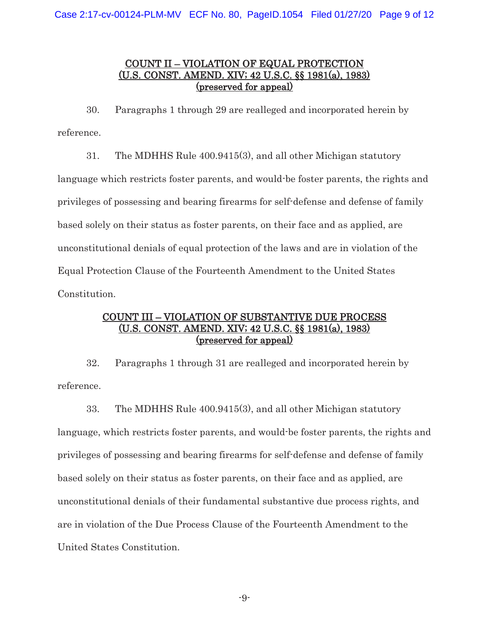## COUNT II – VIOLATION OF EQUAL PROTECTION (U.S. CONST. AMEND. XIV; 42 U.S.C. §§ 1981(a), 1983) (preserved for appeal)

30. Paragraphs 1 through 29 are realleged and incorporated herein by reference.

31. The MDHHS Rule 400.9415(3), and all other Michigan statutory language which restricts foster parents, and would-be foster parents, the rights and privileges of possessing and bearing firearms for self-defense and defense of family based solely on their status as foster parents, on their face and as applied, are unconstitutional denials of equal protection of the laws and are in violation of the Equal Protection Clause of the Fourteenth Amendment to the United States Constitution.

## COUNT III – VIOLATION OF SUBSTANTIVE DUE PROCESS (U.S. CONST. AMEND. XIV; 42 U.S.C. §§ 1981(a), 1983) (preserved for appeal)

32. Paragraphs 1 through 31 are realleged and incorporated herein by reference.

33. The MDHHS Rule 400.9415(3), and all other Michigan statutory language, which restricts foster parents, and would-be foster parents, the rights and privileges of possessing and bearing firearms for self-defense and defense of family based solely on their status as foster parents, on their face and as applied, are unconstitutional denials of their fundamental substantive due process rights, and are in violation of the Due Process Clause of the Fourteenth Amendment to the United States Constitution.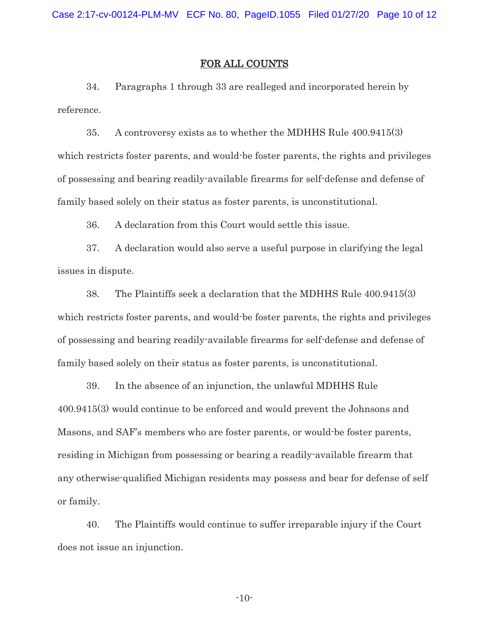#### FOR ALL COUNTS

34. Paragraphs 1 through 33 are realleged and incorporated herein by reference.

35. A controversy exists as to whether the MDHHS Rule 400.9415(3) which restricts foster parents, and would-be foster parents, the rights and privileges of possessing and bearing readily-available firearms for self-defense and defense of family based solely on their status as foster parents, is unconstitutional.

36. A declaration from this Court would settle this issue.

37. A declaration would also serve a useful purpose in clarifying the legal issues in dispute.

38. The Plaintiffs seek a declaration that the MDHHS Rule 400.9415(3) which restricts foster parents, and would-be foster parents, the rights and privileges of possessing and bearing readily-available firearms for self-defense and defense of family based solely on their status as foster parents, is unconstitutional.

39. In the absence of an injunction, the unlawful MDHHS Rule 400.9415(3) would continue to be enforced and would prevent the Johnsons and Masons, and SAF's members who are foster parents, or would-be foster parents, residing in Michigan from possessing or bearing a readily-available firearm that any otherwise-qualified Michigan residents may possess and bear for defense of self or family.

40. The Plaintiffs would continue to suffer irreparable injury if the Court does not issue an injunction.

-10-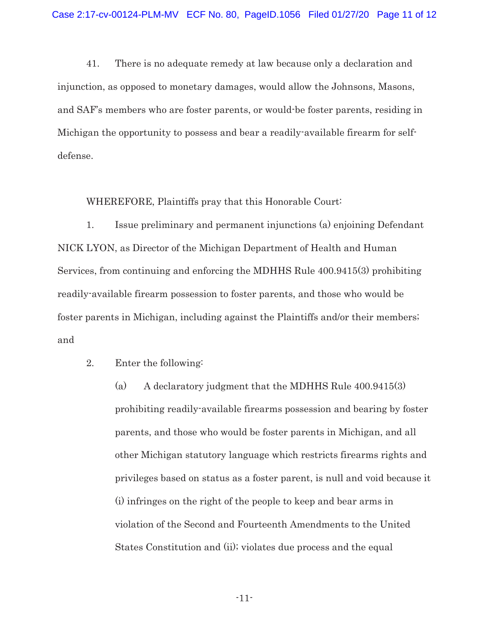41. There is no adequate remedy at law because only a declaration and injunction, as opposed to monetary damages, would allow the Johnsons, Masons, and SAF's members who are foster parents, or would-be foster parents, residing in Michigan the opportunity to possess and bear a readily-available firearm for selfdefense.

WHEREFORE, Plaintiffs pray that this Honorable Court:

 1. Issue preliminary and permanent injunctions (a) enjoining Defendant NICK LYON, as Director of the Michigan Department of Health and Human Services, from continuing and enforcing the MDHHS Rule 400.9415(3) prohibiting readily-available firearm possession to foster parents, and those who would be foster parents in Michigan, including against the Plaintiffs and/or their members; and

2. Enter the following:

(a) A declaratory judgment that the MDHHS Rule 400.9415(3) prohibiting readily-available firearms possession and bearing by foster parents, and those who would be foster parents in Michigan, and all other Michigan statutory language which restricts firearms rights and privileges based on status as a foster parent, is null and void because it (i) infringes on the right of the people to keep and bear arms in violation of the Second and Fourteenth Amendments to the United States Constitution and (ii); violates due process and the equal

-11-